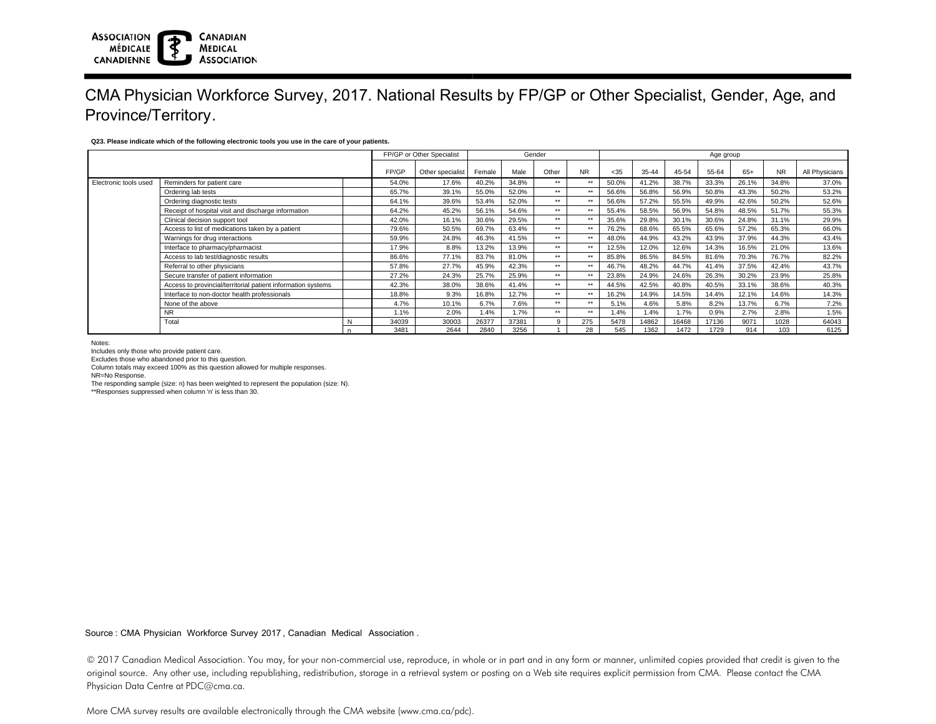### **ASSOCIATION CANADIAN MÉDICALE MEDICAL ASSOCIATION CANADIENNE**

# CMA Physician Workforce Survey, 2017. National Results by FP/GP or Other Specialist, Gender, Age, and Province/Territory.

## **Q23. Please indicate which of the following electronic tools you use in the care of your patients.**

|                       |                                                              |   | FP/GP or Other Specialist |                  | Gender |       |       |           | Age group |       |       |       |       |           |                |  |
|-----------------------|--------------------------------------------------------------|---|---------------------------|------------------|--------|-------|-------|-----------|-----------|-------|-------|-------|-------|-----------|----------------|--|
|                       |                                                              |   |                           |                  |        |       |       |           |           |       |       |       |       | <b>NR</b> |                |  |
|                       |                                                              |   | FP/GP                     | Other specialist | Female | Male  | Other | <b>NR</b> | $<$ 35    | 35-44 | 45-54 | 55-64 | 65+   |           | All Physicians |  |
| Electronic tools used | Reminders for patient care                                   |   | 54.0%                     | 17.6%            | 40.2%  | 34.8% | $***$ | $**$      | 50.0%     | 41.2% | 38.7% | 33.3% | 26.1% | 34.8%     | 37.0%          |  |
|                       | Ordering lab tests                                           |   | 65.7%                     | 39.1%            | 55.0%  | 52.0% | **    | **        | 56.6%     | 56.8% | 56.9% | 50.8% | 43.3% | 50.2%     | 53.2%          |  |
|                       | Ordering diagnostic tests                                    |   | 64.1%                     | 39.6%            | 53.4%  | 52.0% | **    | $**$      | 56.6%     | 57.2% | 55.5% | 49.9% | 42.6% | 50.2%     | 52.6%          |  |
|                       | Receipt of hospital visit and discharge information          |   | 64.2%                     | 45.2%            | 56.1%  | 54.6% | **    | $**$      | 55.4%     | 58.5% | 56.9% | 54.8% | 48.5% | 51.7%     | 55.3%          |  |
|                       | Clinical decision support tool                               |   | 42.0%                     | 16.1%            | 30.6%  | 29.5% | **    | **        | 35.6%     | 29.8% | 30.1% | 30.6% | 24.8% | 31.1%     | 29.9%          |  |
|                       | Access to list of medications taken by a patient             |   | 79.6%                     | 50.5%            | 69.7%  | 63.4% | **    | $***$     | 76.2%     | 68.6% | 65.5% | 65.6% | 57.2% | 65.3%     | 66.0%          |  |
|                       | Warnings for drug interactions                               |   | 59.9%                     | 24.8%            | 46.3%  | 41.5% | **    | $**$      | 48.0%     | 44.9% | 43.2% | 43.9% | 37.9% | 44.3%     | 43.4%          |  |
|                       | Interface to pharmacy/pharmacist                             |   | 17.9%                     | 8.8%             | 13.2%  | 13.9% | **    | **        | 12.5%     | 12.0% | 12.6% | 14.3% | 16.5% | 21.0%     | 13.6%          |  |
|                       | Access to lab test/diagnostic results                        |   | 86.6%                     | 77.1%            | 83.7%  | 81.0% | **    | $**$      | 85.8%     | 86.5% | 84.5% | 81.6% | 70.3% | 76.7%     | 82.2%          |  |
|                       | Referral to other physicians                                 |   | 57.8%                     | 27.7%            | 45.9%  | 42.3% | **    | **        | 46.7%     | 48.2% | 44.7% | 41.4% | 37.5% | 42.4%     | 43.7%          |  |
|                       | Secure transfer of patient information                       |   | 27.2%                     | 24.3%            | 25.7%  | 25.9% | **    | **        | 23.8%     | 24.9% | 24.6% | 26.3% | 30.2% | 23.9%     | 25.8%          |  |
|                       | Access to provincial/territorial patient information systems |   | 42.3%                     | 38.0%            | 38.6%  | 41.4% | **    | **        | 44.5%     | 42.5% | 40.8% | 40.5% | 33.1% | 38.6%     | 40.3%          |  |
|                       | Interface to non-doctor health professionals                 |   | 18.8%                     | 9.3%             | 16.8%  | 12.7% | $***$ | $***$     | 16.2%     | 14.9% | 14.5% | 14.4% | 12.1% | 14.6%     | 14.3%          |  |
|                       | None of the above                                            |   | 4.7%                      | 10.1%            | 6.7%   | 7.6%  | **    | $***$     | 5.1%      | 4.6%  | 5.8%  | 8.2%  | 13.7% | 6.7%      | 7.2%           |  |
|                       | <b>NR</b>                                                    |   | 1.1%                      | 2.0%             | 1.4%   | 1.7%  | **    | **        | 1.4%      | 1.4%  | 1.7%  | 0.9%  | 2.7%  | 2.8%      | 1.5%           |  |
|                       | Total                                                        | N | 34039                     | 30003            | 26377  | 37381 | 9     | 275       | 5478      | 14862 | 16468 | 17136 | 9071  | 1028      | 64043          |  |
|                       |                                                              |   | 3481                      | 2644             | 2840   | 3256  |       | 28        | 545       | 1362  | 1472  | 1729  | 914   | 103       | 6125           |  |

Notes:

Includes only those who provide patient care.

Excludes those who abandoned prior to this question.

Column totals may exceed 100% as this question allowed for multiple responses.

NR=No Response.

The responding sample (size: n) has been weighted to represent the population (size: N).

\*\*Responses suppressed when column 'n' is less than 30.

Source : CMA Physician Workforce Survey 2017, Canadian Medical Association .

© 2017 Canadian Medical Association. You may, for your non-commercial use, reproduce, in whole or in part and in any form or manner, unlimited copies provided that credit is given to the original source. Any other use, including republishing, redistribution, storage in a retrieval system or posting on a Web site requires explicit permission from CMA. Please contact the CMA Physician Data Centre at PDC@cma.ca.

More CMA survey results are available electronically through the CMA website (www.cma.ca/pdc).